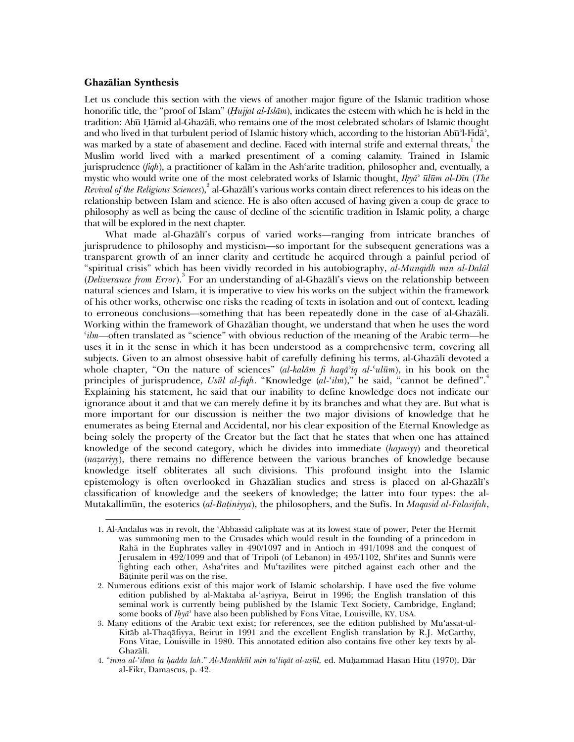## **Ghazalian Synthesis**

j

Let us conclude this section with the views of another major figure of the Islamic tradition whose honorific title, the "proof of Islam" (*Hujjat al-Islam*), indicates the esteem with which he is held in the tradition: Abū Hāmid al-Ghazālī, who remains one of the most celebrated scholars of Islamic thought and who lived in that turbulent period of Islamic history which, according to the historian Abu<sup>3</sup>l-Fida<sup>3</sup>, was marked by a state of abasement and decline. Faced with internal strife and external threats,  $^1$  the Muslim world lived with a marked presentiment of a coming calamity. Trained in Islamic jurisprudence (*fiqh*), a practitioner of kalām in the Ash'arite tradition, philosopher and, eventually, a mystic who would write one of the most celebrated works of Islamic thought, *Ihyab ulum al-Din* (*The*  Revival of the Religious Sciences),<sup>2</sup> al-Ghazali's various works contain direct references to his ideas on the relationship between Islam and science. He is also often accused of having given a coup de grace to philosophy as well as being the cause of decline of the scientific tradition in Islamic polity, a charge that will be explored in the next chapter.

What made al-Ghazali's corpus of varied works—ranging from intricate branches of jurisprudence to philosophy and mysticism—so important for the subsequent generations was a transparent growth of an inner clarity and certitude he acquired through a painful period of "spiritual crisis" which has been vividly recorded in his autobiography, *al-Munqidh min al-Dalal*  (*Deliverance from Error*).<sup>3</sup> For an understanding of al-Ghazali's views on the relationship between natural sciences and Islam, it is imperative to view his works on the subject within the framework of his other works, otherwise one risks the reading of texts in isolation and out of context, leading to erroneous conclusions—something that has been repeatedly done in the case of al-Ghazali. Working within the framework of Ghazalian thought, we understand that when he uses the word *cilm*—often translated as "science" with obvious reduction of the meaning of the Arabic term—he uses it in it the sense in which it has been understood as a comprehensive term, covering all subjects. Given to an almost obsessive habit of carefully defining his terms, al-Ghazali devoted a whole chapter, "On the nature of sciences" (*al-kalam* fi haqa<sup>*i*</sup>q al-<sup>*c*</sup>*ul* $\bar{u}$ *m*), in his book on the principles of jurisprudence, *Usūl al-fiqh*. "Knowledge (al-'ilm)," he said, "cannot be defined".<sup>4</sup> Explaining his statement, he said that our inability to define knowledge does not indicate our ignorance about it and that we can merely define it by its branches and what they are. But what is more important for our discussion is neither the two major divisions of knowledge that he enumerates as being Eternal and Accidental, nor his clear exposition of the Eternal Knowledge as being solely the property of the Creator but the fact that he states that when one has attained knowledge of the second category, which he divides into immediate (*hajmiyy*) and theoretical (*nazariyy*), there remains no difference between the various branches of knowledge because knowledge itself obliterates all such divisions. This profound insight into the Islamic epistemology is often overlooked in Ghazalian studies and stress is placed on al-Ghazali's classification of knowledge and the seekers of knowledge; the latter into four types: the al-Mutakallimun, the esoterics (*al-Batiniyya*), the philosophers, and the Sufis. In *Maqasid al-Falasifah*,

<sup>1.</sup> Al-Andalus was in revolt, the cAbbassid caliphate was at its lowest state of power, Peter the Hermit was summoning men to the Crusades which would result in the founding of a princedom in Raha in the Euphrates valley in 490/1097 and in Antioch in 491/1098 and the conquest of Jerusalem in 492/1099 and that of Tripoli (of Lebanon) in 495/1102, Shicites and Sunnis were fighting each other, Ashacrites and Muctazilites were pitched against each other and the Batinite peril was on the rise.

<sup>2.</sup> Numerous editions exist of this major work of Islamic scholarship. I have used the five volume edition published by al-Maktaba al-'asriyya, Beirut in 1996; the English translation of this seminal work is currently being published by the Islamic Text Society, Cambridge, England; some books of *Ihya*<sup>3</sup> have also been published by Fons Vitae, Louisville, KY, USA.

<sup>3.</sup> Many editions of the Arabic text exist; for references, see the edition published by Mu'assat-ul-Kitab al-Thaqafiyya, Beirut in 1991 and the excellent English translation by R.J. McCarthy, Fons Vitae, Louisville in 1980. This annotated edition also contains five other key texts by al-Ghazali.

<sup>4. &</sup>quot;*inna al-cilma la hadda lah*." *Al-Mankhul min tacliqat al-usul,* ed. Muhammad Hasan Hitu (1970), Dar al-Fikr, Damascus, p. 42.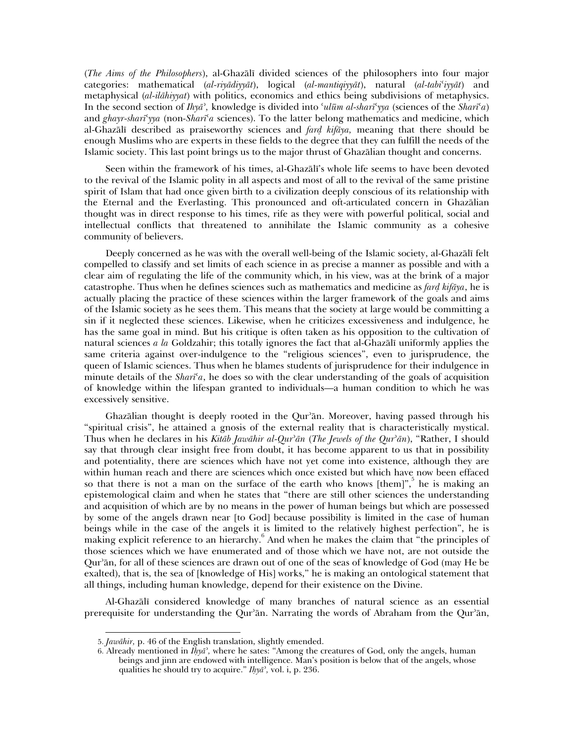(*The Aims of the Philosophers*), al-Ghazali divided sciences of the philosophers into four major categories: mathematical (*al-riyadiyyat*), logical (*al-mantiqiyyat*), natural (*al-tabiciyyat*) and metaphysical (*al-ilahiyyat*) with politics, economics and ethics being subdivisions of metaphysics. In the second section of  $I h y \bar{a}$ <sup>*,*</sup>, knowledge is divided into 'ul $\bar{u}$ *m al-shari'* yya (sciences of the *Shari'a*) and *ghayr-sharicyya* (non*-Sharica* sciences). To the latter belong mathematics and medicine, which al-Ghazali described as praiseworthy sciences and *fard kifaya,* meaning that there should be enough Muslims who are experts in these fields to the degree that they can fulfill the needs of the Islamic society. This last point brings us to the major thrust of Ghazalian thought and concerns.

Seen within the framework of his times, al-Ghazali's whole life seems to have been devoted to the revival of the Islamic polity in all aspects and most of all to the revival of the same pristine spirit of Islam that had once given birth to a civilization deeply conscious of its relationship with the Eternal and the Everlasting. This pronounced and oft-articulated concern in Ghazalian thought was in direct response to his times, rife as they were with powerful political, social and intellectual conflicts that threatened to annihilate the Islamic community as a cohesive community of believers.

Deeply concerned as he was with the overall well-being of the Islamic society, al-Ghazali felt compelled to classify and set limits of each science in as precise a manner as possible and with a clear aim of regulating the life of the community which, in his view, was at the brink of a major catastrophe. Thus when he defines sciences such as mathematics and medicine as *fard kifaya*, he is actually placing the practice of these sciences within the larger framework of the goals and aims of the Islamic society as he sees them. This means that the society at large would be committing a sin if it neglected these sciences. Likewise, when he criticizes excessiveness and indulgence, he has the same goal in mind. But his critique is often taken as his opposition to the cultivation of natural sciences *a la* Goldzahir; this totally ignores the fact that al-Ghazali uniformly applies the same criteria against over-indulgence to the "religious sciences", even to jurisprudence, the queen of Islamic sciences. Thus when he blames students of jurisprudence for their indulgence in minute details of the *Sharica*, he does so with the clear understanding of the goals of acquisition of knowledge within the lifespan granted to individuals—a human condition to which he was excessively sensitive.

Ghazalian thought is deeply rooted in the Qur'an. Moreover, having passed through his "spiritual crisis", he attained a gnosis of the external reality that is characteristically mystical. Thus when he declares in his *Kitab Jawahir al-Qurban* (*The Jewels of the Qurban*), "Rather, I should say that through clear insight free from doubt, it has become apparent to us that in possibility and potentiality, there are sciences which have not yet come into existence, although they are within human reach and there are sciences which once existed but which have now been effaced so that there is not a man on the surface of the earth who knows [them]",  $5$  he is making an epistemological claim and when he states that "there are still other sciences the understanding and acquisition of which are by no means in the power of human beings but which are possessed by some of the angels drawn near [to God] because possibility is limited in the case of human beings while in the case of the angels it is limited to the relatively highest perfection", he is making explicit reference to an hierarchy.<sup>6</sup> And when he makes the claim that "the principles of those sciences which we have enumerated and of those which we have not, are not outside the Qur'an, for all of these sciences are drawn out of one of the seas of knowledge of God (may He be exalted), that is, the sea of [knowledge of His] works," he is making an ontological statement that all things, including human knowledge, depend for their existence on the Divine.

Al-Ghazali considered knowledge of many branches of natural science as an essential prerequisite for understanding the Qur'ān. Narrating the words of Abraham from the Qur'ān,

j

<sup>5.</sup> *Jawahir,* p. 46 of the English translation, slightly emended.

<sup>6.</sup> Already mentioned in  $\overline{I}$ *h* $\overline{y}$ *a*<sup>2</sup>, where he sates: "Among the creatures of God, only the angels, human beings and jinn are endowed with intelligence. Man's position is below that of the angels, whose qualities he should try to acquire." *Ihyab,* vol. i, p. 236.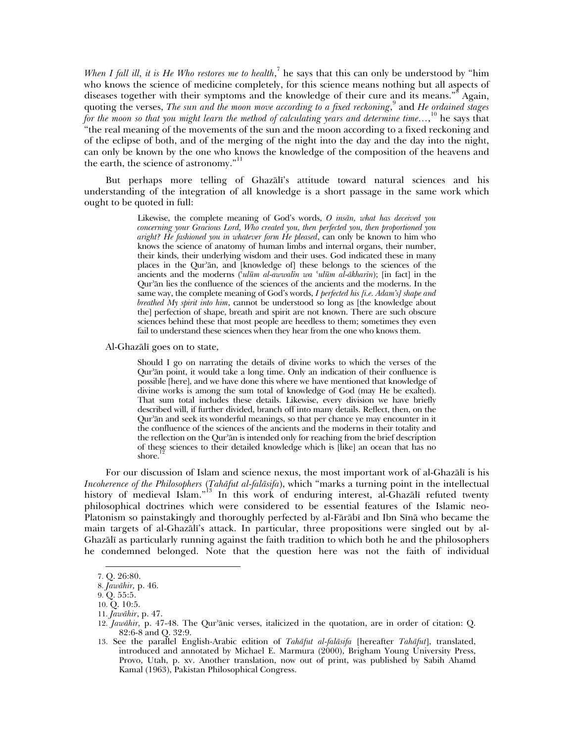When I fall ill, it is *He Who restores me to health*,<sup>7</sup> he says that this can only be understood by "him who knows the science of medicine completely, for this science means nothing but all aspects of diseases together with their symptoms and the knowledge of their cure and its means."<sup>8</sup> Again, quoting the verses, *The sun and the moon move according to a fixed reckoning*, and *He ordained stages* for the moon so that you might learn the method of calculating years and determine time...,<sup>10</sup> he says that "the real meaning of the movements of the sun and the moon according to a fixed reckoning and of the eclipse of both, and of the merging of the night into the day and the day into the night, can only be known by the one who knows the knowledge of the composition of the heavens and the earth, the science of astronomy."<sup>11</sup>

But perhaps more telling of Ghazali's attitude toward natural sciences and his understanding of the integration of all knowledge is a short passage in the same work which ought to be quoted in full:

> Likewise, the complete meaning of God's words, *O insan, what has deceived you concerning your Gracious Lord, Who created you, then perfected you, then proportioned you aright? He fashioned you in whatever form He pleased*, can only be known to him who knows the science of anatomy of human limbs and internal organs, their number, their kinds, their underlying wisdom and their uses. God indicated these in many places in the Qur'an, and [knowledge of] these belongs to the sciences of the ancients and the moderns (*culum al-awwalin wa culum al-akharin*); [in fact] in the Qur'an lies the confluence of the sciences of the ancients and the moderns. In the same way, the complete meaning of God's words, *I perfected his [i.e. Adam's] shape and breathed My spirit into him*, cannot be understood so long as [the knowledge about the] perfection of shape, breath and spirit are not known. There are such obscure sciences behind these that most people are heedless to them; sometimes they even fail to understand these sciences when they hear from the one who knows them.

Al-Ghazali goes on to state,

Should I go on narrating the details of divine works to which the verses of the Qur'an point, it would take a long time. Only an indication of their confluence is possible [here], and we have done this where we have mentioned that knowledge of divine works is among the sum total of knowledge of God (may He be exalted). That sum total includes these details. Likewise, every division we have briefly described will, if further divided, branch off into many details. Reflect, then, on the Qur'an and seek its wonderful meanings, so that per chance ye may encounter in it the confluence of the sciences of the ancients and the moderns in their totality and the reflection on the Qur'an is intended only for reaching from the brief description of these sciences to their detailed knowledge which is [like] an ocean that has no shore.

For our discussion of Islam and science nexus, the most important work of al-Ghazali is his *Incoherence of the Philosophers* (*Tahafut al-falasifa*), which "marks a turning point in the intellectual history of medieval Islam."<sup>13</sup> In this work of enduring interest, al-Ghazali refuted twenty philosophical doctrines which were considered to be essential features of the Islamic neo-Platonism so painstakingly and thoroughly perfected by al-Farabi and Ibn Sina who became the main targets of al-Ghazali's attack. In particular, three propositions were singled out by al-Ghazali as particularly running against the faith tradition to which both he and the philosophers he condemned belonged. Note that the question here was not the faith of individual

<sup>7.</sup> Q. 26:80.

<sup>8.</sup> *Jawahir,* p. 46.

<sup>9.</sup> Q. 55:5.

<sup>10.</sup> Q. 10:5.

<sup>11.</sup> *Jawahir*, p. 47.

<sup>12.</sup> *Jawahir*, p. 47-48. The Qur'anic verses, italicized in the quotation, are in order of citation: Q. 82:6-8 and Q. 32:9.

<sup>13.</sup> See the parallel English-Arabic edition of *Tahafut al-falasifa* [hereafter *Tahafut*], translated, introduced and annotated by Michael E. Marmura (2000), Brigham Young University Press, Provo, Utah, p. xv. Another translation, now out of print, was published by Sabih Ahamd Kamal (1963), Pakistan Philosophical Congress.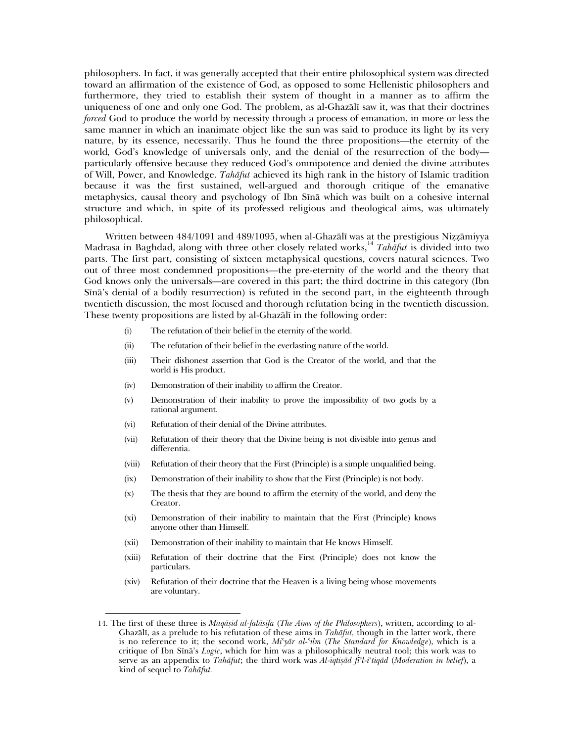philosophers. In fact, it was generally accepted that their entire philosophical system was directed toward an affirmation of the existence of God, as opposed to some Hellenistic philosophers and furthermore, they tried to establish their system of thought in a manner as to affirm the uniqueness of one and only one God. The problem, as al-Ghazali saw it, was that their doctrines *forced* God to produce the world by necessity through a process of emanation, in more or less the same manner in which an inanimate object like the sun was said to produce its light by its very nature, by its essence, necessarily. Thus he found the three propositions—the eternity of the world*,* God's knowledge of universals only, and the denial of the resurrection of the body particularly offensive because they reduced God's omnipotence and denied the divine attributes of Will, Power, and Knowledge. *Tahafut* achieved its high rank in the history of Islamic tradition because it was the first sustained, well-argued and thorough critique of the emanative metaphysics, causal theory and psychology of Ibn Sina which was built on a cohesive internal structure and which, in spite of its professed religious and theological aims, was ultimately philosophical.

Written between 484/1091 and 489/1095, when al-Ghazali was at the prestigious Nizzamiyya Madrasa in Baghdad, along with three other closely related works,<sup>14</sup> *Tahafut* is divided into two parts. The first part, consisting of sixteen metaphysical questions, covers natural sciences. Two out of three most condemned propositions—the pre-eternity of the world and the theory that God knows only the universals—are covered in this part; the third doctrine in this category (Ibn Sina's denial of a bodily resurrection) is refuted in the second part, in the eighteenth through twentieth discussion, the most focused and thorough refutation being in the twentieth discussion. These twenty propositions are listed by al-Ghazali in the following order:

- (i) The refutation of their belief in the eternity of the world.
- (ii) The refutation of their belief in the everlasting nature of the world.
- (iii) Their dishonest assertion that God is the Creator of the world, and that the world is His product.
- (iv) Demonstration of their inability to affirm the Creator.
- (v) Demonstration of their inability to prove the impossibility of two gods by a rational argument.
- (vi) Refutation of their denial of the Divine attributes.

- (vii) Refutation of their theory that the Divine being is not divisible into genus and differentia.
- (viii) Refutation of their theory that the First (Principle) is a simple unqualified being.
- (ix) Demonstration of their inability to show that the First (Principle) is not body.
- (x) The thesis that they are bound to affirm the eternity of the world, and deny the Creator.
- (xi) Demonstration of their inability to maintain that the First (Principle) knows anyone other than Himself.
- (xii) Demonstration of their inability to maintain that He knows Himself.
- (xiii) Refutation of their doctrine that the First (Principle) does not know the particulars.
- (xiv) Refutation of their doctrine that the Heaven is a living being whose movements are voluntary.

<sup>14.</sup> The first of these three is *Maqasid al-falasifa* (*The Aims of the Philosophers*), written, according to al-Ghazali, as a prelude to his refutation of these aims in *Tahafut,* though in the latter work, there is no reference to it; the second work, *Micyar al-cilm* (*The Standard for Knowledge*), which is a critique of Ibn Sina's *Logic*, which for him was a philosophically neutral tool; this work was to serve as an appendix to *Tahafut*; the third work was *Al-iqtisad fibl-ictiqad* (*Moderation in belief*), a kind of sequel to *Tahafut.*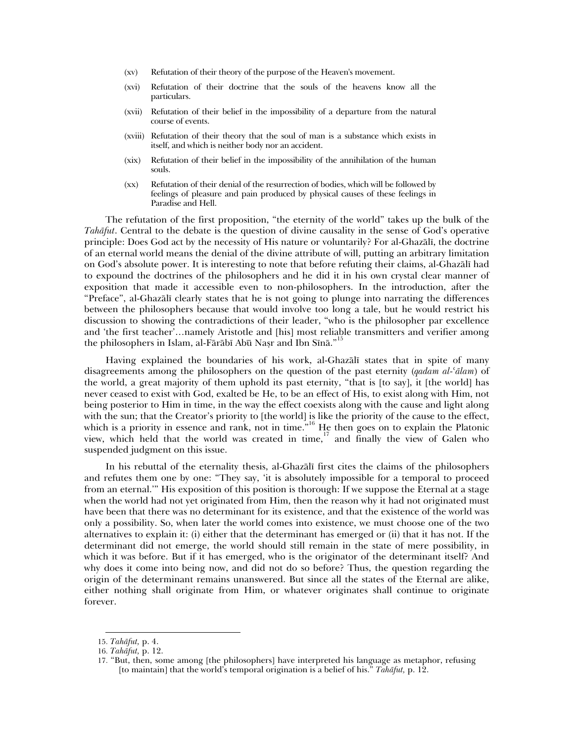- (xv) Refutation of their theory of the purpose of the Heaven's movement.
- (xvi) Refutation of their doctrine that the souls of the heavens know all the particulars.
- (xvii) Refutation of their belief in the impossibility of a departure from the natural course of events.
- (xviii) Refutation of their theory that the soul of man is a substance which exists in itself, and which is neither body nor an accident.
- (xix) Refutation of their belief in the impossibility of the annihilation of the human souls.
- (xx) Refutation of their denial of the resurrection of bodies, which will be followed by feelings of pleasure and pain produced by physical causes of these feelings in Paradise and Hell.

The refutation of the first proposition, "the eternity of the world" takes up the bulk of the *Tahafut*. Central to the debate is the question of divine causality in the sense of God's operative principle: Does God act by the necessity of His nature or voluntarily? For al-Ghazali, the doctrine of an eternal world means the denial of the divine attribute of will, putting an arbitrary limitation on God's absolute power. It is interesting to note that before refuting their claims, al-Ghazali had to expound the doctrines of the philosophers and he did it in his own crystal clear manner of exposition that made it accessible even to non-philosophers. In the introduction, after the "Preface", al-Ghazali clearly states that he is not going to plunge into narrating the differences between the philosophers because that would involve too long a tale, but he would restrict his discussion to showing the contradictions of their leader, "who is the philosopher par excellence and 'the first teacher'…namely Aristotle and [his] most reliable transmitters and verifier among the philosophers in Islam, al-Fārābī Abū Nasr and Ibn Sīnā."<sup>1</sup>

Having explained the boundaries of his work, al-Ghazali states that in spite of many disagreements among the philosophers on the question of the past eternity (*qadam al-calam*) of the world, a great majority of them uphold its past eternity, "that is [to say], it [the world] has never ceased to exist with God, exalted be He, to be an effect of His, to exist along with Him, not being posterior to Him in time, in the way the effect coexists along with the cause and light along with the sun; that the Creator's priority to [the world] is like the priority of the cause to the effect, which is a priority in essence and rank, not in time.<sup>"16</sup> He then goes on to explain the Platonic view, which held that the world was created in time, $17$  and finally the view of Galen who suspended judgment on this issue.

In his rebuttal of the eternality thesis, al-Ghazali first cites the claims of the philosophers and refutes them one by one: "They say, 'it is absolutely impossible for a temporal to proceed from an eternal.'" His exposition of this position is thorough: If we suppose the Eternal at a stage when the world had not yet originated from Him, then the reason why it had not originated must have been that there was no determinant for its existence, and that the existence of the world was only a possibility. So, when later the world comes into existence, we must choose one of the two alternatives to explain it: (i) either that the determinant has emerged or (ii) that it has not. If the determinant did not emerge, the world should still remain in the state of mere possibility, in which it was before. But if it has emerged, who is the originator of the determinant itself? And why does it come into being now, and did not do so before? Thus, the question regarding the origin of the determinant remains unanswered. But since all the states of the Eternal are alike, either nothing shall originate from Him, or whatever originates shall continue to originate forever.

j

<sup>15.</sup> *Tahafut,* p. 4.

<sup>16.</sup> *Tahafut,* p. 12.

<sup>17. &</sup>quot;But, then, some among [the philosophers] have interpreted his language as metaphor, refusing [to maintain] that the world's temporal origination is a belief of his." *Tahafut,* p. 12.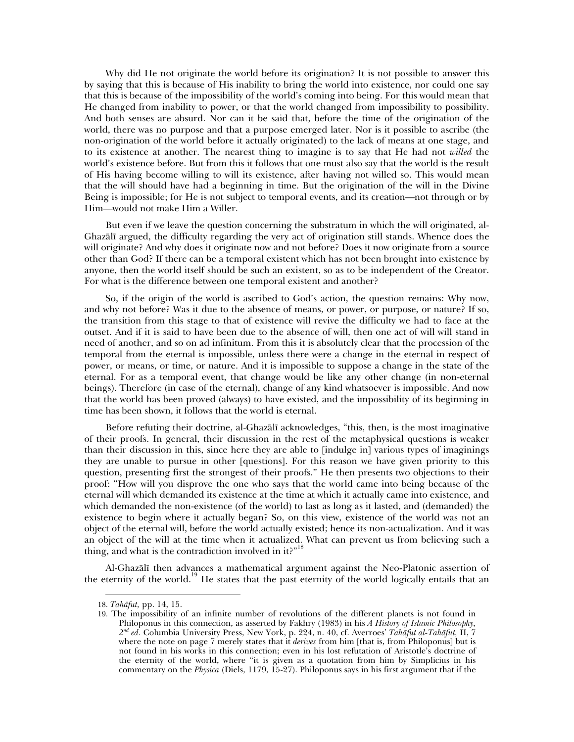Why did He not originate the world before its origination? It is not possible to answer this by saying that this is because of His inability to bring the world into existence, nor could one say that this is because of the impossibility of the world's coming into being. For this would mean that He changed from inability to power, or that the world changed from impossibility to possibility. And both senses are absurd. Nor can it be said that, before the time of the origination of the world, there was no purpose and that a purpose emerged later. Nor is it possible to ascribe (the non-origination of the world before it actually originated) to the lack of means at one stage, and to its existence at another. The nearest thing to imagine is to say that He had not *willed* the world's existence before. But from this it follows that one must also say that the world is the result of His having become willing to will its existence, after having not willed so. This would mean that the will should have had a beginning in time. But the origination of the will in the Divine Being is impossible; for He is not subject to temporal events, and its creation—not through or by Him—would not make Him a Willer.

But even if we leave the question concerning the substratum in which the will originated, al-Ghazali argued, the difficulty regarding the very act of origination still stands. Whence does the will originate? And why does it originate now and not before? Does it now originate from a source other than God? If there can be a temporal existent which has not been brought into existence by anyone, then the world itself should be such an existent, so as to be independent of the Creator. For what is the difference between one temporal existent and another?

So, if the origin of the world is ascribed to God's action, the question remains: Why now, and why not before? Was it due to the absence of means, or power, or purpose, or nature? If so, the transition from this stage to that of existence will revive the difficulty we had to face at the outset. And if it is said to have been due to the absence of will, then one act of will will stand in need of another, and so on ad infinitum. From this it is absolutely clear that the procession of the temporal from the eternal is impossible, unless there were a change in the eternal in respect of power, or means, or time, or nature. And it is impossible to suppose a change in the state of the eternal. For as a temporal event, that change would be like any other change (in non-eternal beings). Therefore (in case of the eternal), change of any kind whatsoever is impossible. And now that the world has been proved (always) to have existed, and the impossibility of its beginning in time has been shown, it follows that the world is eternal.

Before refuting their doctrine, al-Ghazali acknowledges, "this, then, is the most imaginative of their proofs. In general, their discussion in the rest of the metaphysical questions is weaker than their discussion in this, since here they are able to [indulge in] various types of imaginings they are unable to pursue in other [questions]. For this reason we have given priority to this question, presenting first the strongest of their proofs." He then presents two objections to their proof: "How will you disprove the one who says that the world came into being because of the eternal will which demanded its existence at the time at which it actually came into existence, and which demanded the non-existence (of the world) to last as long as it lasted, and (demanded) the existence to begin where it actually began? So, on this view, existence of the world was not an object of the eternal will, before the world actually existed; hence its non-actualization. And it was an object of the will at the time when it actualized. What can prevent us from believing such a thing, and what is the contradiction involved in it?"

Al-Ghazali then advances a mathematical argument against the Neo-Platonic assertion of the eternity of the world.19 He states that the past eternity of the world logically entails that an

<sup>18.</sup> *Tahafut,* pp. 14, 15.

<sup>19.</sup> The impossibility of an infinite number of revolutions of the different planets is not found in Philoponus in this connection, as asserted by Fakhry (1983) in his *A History of Islamic Philosophy, 2nd ed.* Columbia University Press, New York, p. 224, n. 40, cf. Averroes' *Tahafut al-Tahafut,* II, 7 where the note on page 7 merely states that it *derives* from him [that is, from Philoponus] but is not found in his works in this connection; even in his lost refutation of Aristotle's doctrine of the eternity of the world, where "it is given as a quotation from him by Simplicius in his commentary on the *Physica* (Diels, 1179, 15-27). Philoponus says in his first argument that if the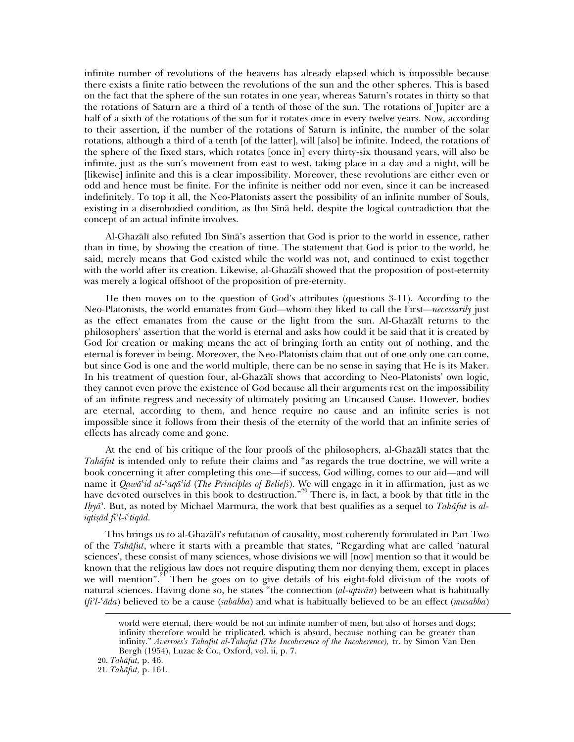infinite number of revolutions of the heavens has already elapsed which is impossible because there exists a finite ratio between the revolutions of the sun and the other spheres. This is based on the fact that the sphere of the sun rotates in one year, whereas Saturn's rotates in thirty so that the rotations of Saturn are a third of a tenth of those of the sun. The rotations of Jupiter are a half of a sixth of the rotations of the sun for it rotates once in every twelve years. Now, according to their assertion, if the number of the rotations of Saturn is infinite, the number of the solar rotations, although a third of a tenth [of the latter], will [also] be infinite. Indeed, the rotations of the sphere of the fixed stars, which rotates [once in] every thirty-six thousand years, will also be infinite, just as the sun's movement from east to west, taking place in a day and a night, will be [likewise] infinite and this is a clear impossibility. Moreover, these revolutions are either even or odd and hence must be finite. For the infinite is neither odd nor even, since it can be increased indefinitely. To top it all, the Neo-Platonists assert the possibility of an infinite number of Souls, existing in a disembodied condition, as Ibn Sina held, despite the logical contradiction that the concept of an actual infinite involves.

Al-Ghazali also refuted Ibn Sina's assertion that God is prior to the world in essence, rather than in time, by showing the creation of time. The statement that God is prior to the world, he said, merely means that God existed while the world was not, and continued to exist together with the world after its creation. Likewise, al-Ghazali showed that the proposition of post-eternity was merely a logical offshoot of the proposition of pre-eternity.

He then moves on to the question of God's attributes (questions 3-11). According to the Neo-Platonists, the world emanates from God—whom they liked to call the First—*necessarily* just as the effect emanates from the cause or the light from the sun. Al-Ghazali returns to the philosophers' assertion that the world is eternal and asks how could it be said that it is created by God for creation or making means the act of bringing forth an entity out of nothing, and the eternal is forever in being. Moreover, the Neo-Platonists claim that out of one only one can come, but since God is one and the world multiple, there can be no sense in saying that He is its Maker. In his treatment of question four, al-Ghazali shows that according to Neo-Platonists' own logic, they cannot even prove the existence of God because all their arguments rest on the impossibility of an infinite regress and necessity of ultimately positing an Uncaused Cause. However, bodies are eternal, according to them, and hence require no cause and an infinite series is not impossible since it follows from their thesis of the eternity of the world that an infinite series of effects has already come and gone.

At the end of his critique of the four proofs of the philosophers, al-Ghazali states that the *Tahafut* is intended only to refute their claims and "as regards the true doctrine, we will write a book concerning it after completing this one—if success, God willing, comes to our aid—and will name it *Qawacid al-caqabid* (*The Principles of Beliefs*). We will engage in it in affirmation, just as we have devoted ourselves in this book to destruction."<sup>20</sup> There is, in fact, a book by that title in the *Ihyab.* But, as noted by Michael Marmura, the work that best qualifies as a sequel to *Tahafut* is *aliqtisad fibl-ictiqad.*

This brings us to al-Ghazali's refutation of causality, most coherently formulated in Part Two of the *Tahafut*, where it starts with a preamble that states, "Regarding what are called 'natural sciences', these consist of many sciences, whose divisions we will [now] mention so that it would be known that the religious law does not require disputing them nor denying them, except in places we will mention".<sup>2p</sup> Then he goes on to give details of his eight-fold division of the roots of natural sciences. Having done so, he states "the connection (*al-iqtiran*) between what is habitually (*fibl-cada*) believed to be a cause (*sababba*) and what is habitually believed to be an effect (*musabba*)

world were eternal, there would be not an infinite number of men, but also of horses and dogs; infinity therefore would be triplicated, which is absurd, because nothing can be greater than infinity." *Averroes's Tahafut al-Tahafut (The Incoherence of the Incoherence),* tr. by Simon Van Den Bergh (1954), Luzac & Co., Oxford, vol. ii, p. 7.

<sup>20.</sup> *Tahafut,* p. 46.

<sup>21.</sup> *Tahafut,* p. 161.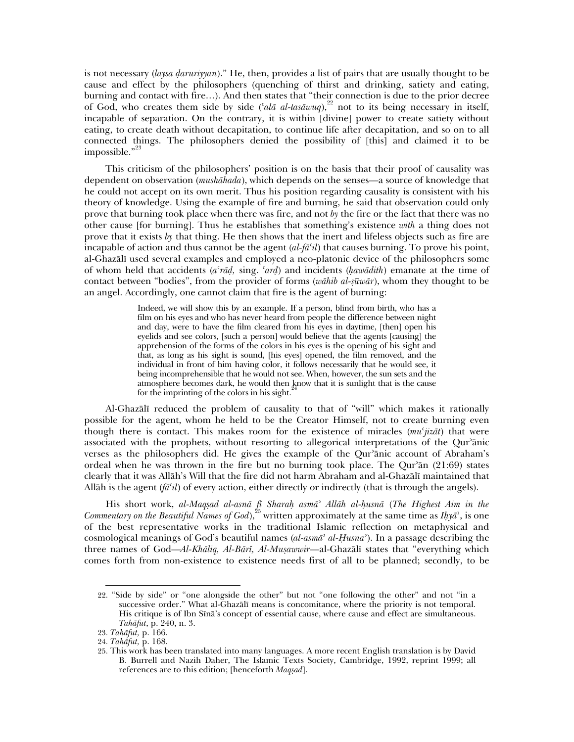is not necessary (*laysa daruriyyan*)." He, then, provides a list of pairs that are usually thought to be cause and effect by the philosophers (quenching of thirst and drinking, satiety and eating, burning and contact with fire…). And then states that "their connection is due to the prior decree of God, who creates them side by side ('ala al-tasavuq),<sup>22</sup> not to its being necessary in itself, incapable of separation. On the contrary, it is within [divine] power to create satiety without eating, to create death without decapitation, to continue life after decapitation, and so on to all connected things. The philosophers denied the possibility of [this] and claimed it to be impossible."<sup>23</sup>

This criticism of the philosophers' position is on the basis that their proof of causality was dependent on observation (*mushahada*), which depends on the senses—a source of knowledge that he could not accept on its own merit. Thus his position regarding causality is consistent with his theory of knowledge. Using the example of fire and burning, he said that observation could only prove that burning took place when there was fire, and not *by* the fire or the fact that there was no other cause [for burning]. Thus he establishes that something's existence *with* a thing does not prove that it exists *by* that thing. He then shows that the inert and lifeless objects such as fire are incapable of action and thus cannot be the agent  $(al$ -*fa<sup>c</sup>il*) that causes burning. To prove his point, al-Ghazali used several examples and employed a neo-platonic device of the philosophers some of whom held that accidents (*acrad,* sing. *card*) and incidents (*hawadith*) emanate at the time of contact between "bodies", from the provider of forms (*wahib al-suwar*), whom they thought to be an angel. Accordingly, one cannot claim that fire is the agent of burning:

> Indeed, we will show this by an example. If a person, blind from birth, who has a film on his eyes and who has never heard from people the difference between night and day, were to have the film cleared from his eyes in daytime, [then] open his eyelids and see colors, [such a person] would believe that the agents [causing] the apprehension of the forms of the colors in his eyes is the opening of his sight and that, as long as his sight is sound, [his eyes] opened, the film removed, and the individual in front of him having color, it follows necessarily that he would see, it being incomprehensible that he would not see. When, however, the sun sets and the atmosphere becomes dark, he would then know that it is sunlight that is the cause for the imprinting of the colors in his sight.<sup>24</sup>

Al-Ghazali reduced the problem of causality to that of "will" which makes it rationally possible for the agent, whom he held to be the Creator Himself, not to create burning even though there is contact. This makes room for the existence of miracles (*mucjizat*) that were associated with the prophets, without resorting to allegorical interpretations of the Qur'anic verses as the philosophers did. He gives the example of the Qur'anic account of Abraham's ordeal when he was thrown in the fire but no burning took place. The Qur'an  $(21:69)$  states clearly that it was Allah's Will that the fire did not harm Abraham and al-Ghazali maintained that Allah is the agent  $(f\bar{a}^t\bar{d})$  of every action, either directly or indirectly (that is through the angels).

His short work, *al-Maqsad al-asna fi Sharah asmab Allah al-husna* (*The Highest Aim in the Commentary on the Beautiful Names of God*),<sup>25</sup> written approximately at the same time as *Ihya*<sup>2</sup>, is one of the best representative works in the traditional Islamic reflection on metaphysical and cosmological meanings of God's beautiful names (*al-asmab al-Husnab*). In a passage describing the three names of God—*Al-Khaliq, Al-Bari, Al-Musawwir*—al-Ghazali states that "everything which comes forth from non-existence to existence needs first of all to be planned; secondly, to be

<sup>22. &</sup>quot;Side by side" or "one alongside the other" but not "one following the other" and not "in a successive order." What al-Ghazali means is concomitance, where the priority is not temporal. His critique is of Ibn Sina's concept of essential cause, where cause and effect are simultaneous. *Tahafut*, p. 240, n. 3.

<sup>23.</sup> *Tahafut,* p. 166.

<sup>24.</sup> *Tahafut,* p. 168.

<sup>25.</sup> This work has been translated into many languages. A more recent English translation is by David B. Burrell and Nazih Daher, The Islamic Texts Society, Cambridge, 1992, reprint 1999; all references are to this edition; [henceforth *Maqsad*].